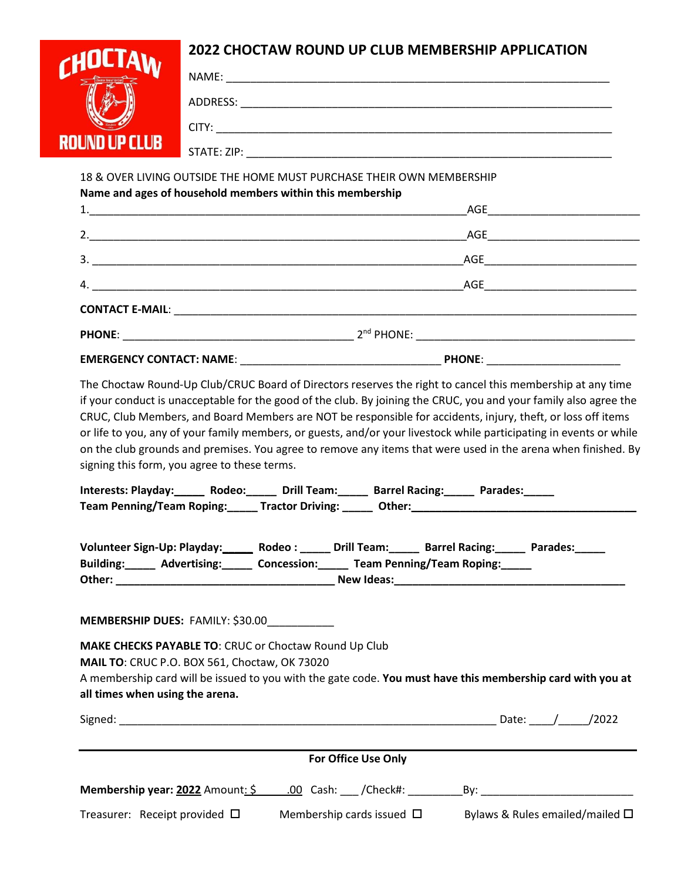## **2022 CHOCTAW ROUND UP CLUB MEMBERSHIP APPLICATION**



NAME: \_\_\_\_\_\_\_\_\_\_\_\_\_\_\_\_\_\_\_\_\_\_\_\_\_\_\_\_\_\_\_\_\_\_\_\_\_\_\_\_\_\_\_\_\_\_\_\_\_\_\_\_\_\_\_\_\_\_\_\_\_\_\_ ADDRESS: \_\_\_\_\_\_\_\_\_\_\_\_\_\_\_\_\_\_\_\_\_\_\_\_\_\_\_\_\_\_\_\_\_\_\_\_\_\_\_\_\_\_\_\_\_\_\_\_\_\_\_\_\_\_\_\_\_\_\_\_\_  $CITY:$ STATE: ZIP: \_\_\_\_\_\_\_\_\_\_\_\_\_\_\_\_\_\_\_\_\_\_\_\_\_\_\_\_\_\_\_\_\_\_\_\_\_\_\_\_\_\_\_\_\_\_\_\_\_\_\_\_\_\_\_\_\_\_\_\_

18 & OVER LIVING OUTSIDE THE HOME MUST PURCHASE THEIR OWN MEMBERSHIP

| Name and ages of household members within this membership |                                                                         |  |
|-----------------------------------------------------------|-------------------------------------------------------------------------|--|
|                                                           |                                                                         |  |
|                                                           |                                                                         |  |
|                                                           |                                                                         |  |
|                                                           |                                                                         |  |
|                                                           |                                                                         |  |
|                                                           | <b>PHONE:</b> 2 <sup>nd</sup> PHONE: 2 <sup>nd</sup> PHONE: 2004 PHONE: |  |
|                                                           | PHONE: _________________________                                        |  |

The Choctaw Round-Up Club/CRUC Board of Directors reserves the right to cancel this membership at any time if your conduct is unacceptable for the good of the club. By joining the CRUC, you and your family also agree the CRUC, Club Members, and Board Members are NOT be responsible for accidents, injury, theft, or loss off items or life to you, any of your family members, or guests, and/or your livestock while participating in events or while on the club grounds and premises. You agree to remove any items that were used in the arena when finished. By signing this form, you agree to these terms.

| Interests: Playday:______ Rodeo:______ Drill Team:_____ Barrel Racing:_____ Parades:_____                                                                                                     |                            |  |  |                                         |  |  |
|-----------------------------------------------------------------------------------------------------------------------------------------------------------------------------------------------|----------------------------|--|--|-----------------------------------------|--|--|
|                                                                                                                                                                                               |                            |  |  |                                         |  |  |
| Volunteer Sign-Up: Playday: ______ Rodeo : _____ Drill Team: _____ Barrel Racing: _____ Parades: ____<br>Building: _____ Advertising: _____ Concession: _____ Team Penning/Team Roping: _____ |                            |  |  |                                         |  |  |
| <b>MEMBERSHIP DUES: FAMILY: \$30.00___________</b>                                                                                                                                            |                            |  |  |                                         |  |  |
| <b>MAKE CHECKS PAYABLE TO: CRUC or Choctaw Round Up Club</b>                                                                                                                                  |                            |  |  |                                         |  |  |
| <b>MAIL TO: CRUC P.O. BOX 561, Choctaw, OK 73020</b>                                                                                                                                          |                            |  |  |                                         |  |  |
| A membership card will be issued to you with the gate code. You must have this membership card with you at                                                                                    |                            |  |  |                                         |  |  |
| all times when using the arena.                                                                                                                                                               |                            |  |  |                                         |  |  |
|                                                                                                                                                                                               |                            |  |  |                                         |  |  |
|                                                                                                                                                                                               |                            |  |  |                                         |  |  |
|                                                                                                                                                                                               | <b>For Office Use Only</b> |  |  |                                         |  |  |
|                                                                                                                                                                                               |                            |  |  |                                         |  |  |
| Treasurer: Receipt provided $\square$ Membership cards issued $\square$                                                                                                                       |                            |  |  | Bylaws & Rules emailed/mailed $\square$ |  |  |